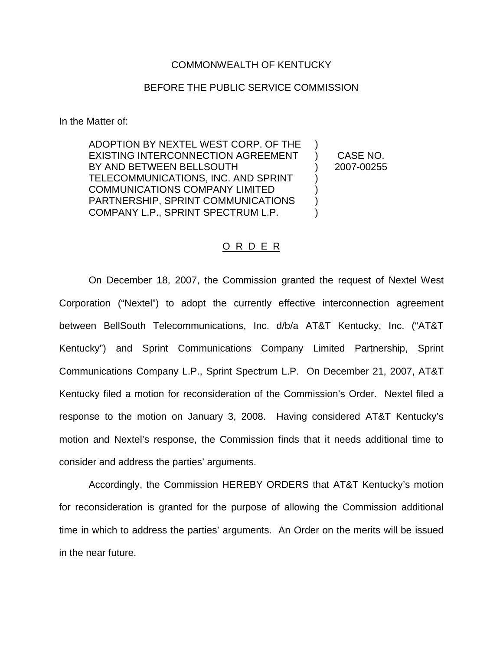## COMMONWEALTH OF KENTUCKY

## BEFORE THE PUBLIC SERVICE COMMISSION

In the Matter of:

ADOPTION BY NEXTEL WEST CORP. OF THE EXISTING INTERCONNECTION AGREEMENT BY AND BETWEEN BELLSOUTH TELECOMMUNICATIONS, INC. AND SPRINT COMMUNICATIONS COMPANY LIMITED PARTNERSHIP, SPRINT COMMUNICATIONS COMPANY L.P., SPRINT SPECTRUM L.P. ) ) ) ) )

) CASE NO. ) 2007-00255

## O R D E R

On December 18, 2007, the Commission granted the request of Nextel West Corporation ("Nextel") to adopt the currently effective interconnection agreement between BellSouth Telecommunications, Inc. d/b/a AT&T Kentucky, Inc. ("AT&T Kentucky") and Sprint Communications Company Limited Partnership, Sprint Communications Company L.P., Sprint Spectrum L.P. On December 21, 2007, AT&T Kentucky filed a motion for reconsideration of the Commission's Order. Nextel filed a response to the motion on January 3, 2008. Having considered AT&T Kentucky's motion and Nextel's response, the Commission finds that it needs additional time to consider and address the parties' arguments.

Accordingly, the Commission HEREBY ORDERS that AT&T Kentucky's motion for reconsideration is granted for the purpose of allowing the Commission additional time in which to address the parties' arguments. An Order on the merits will be issued in the near future.